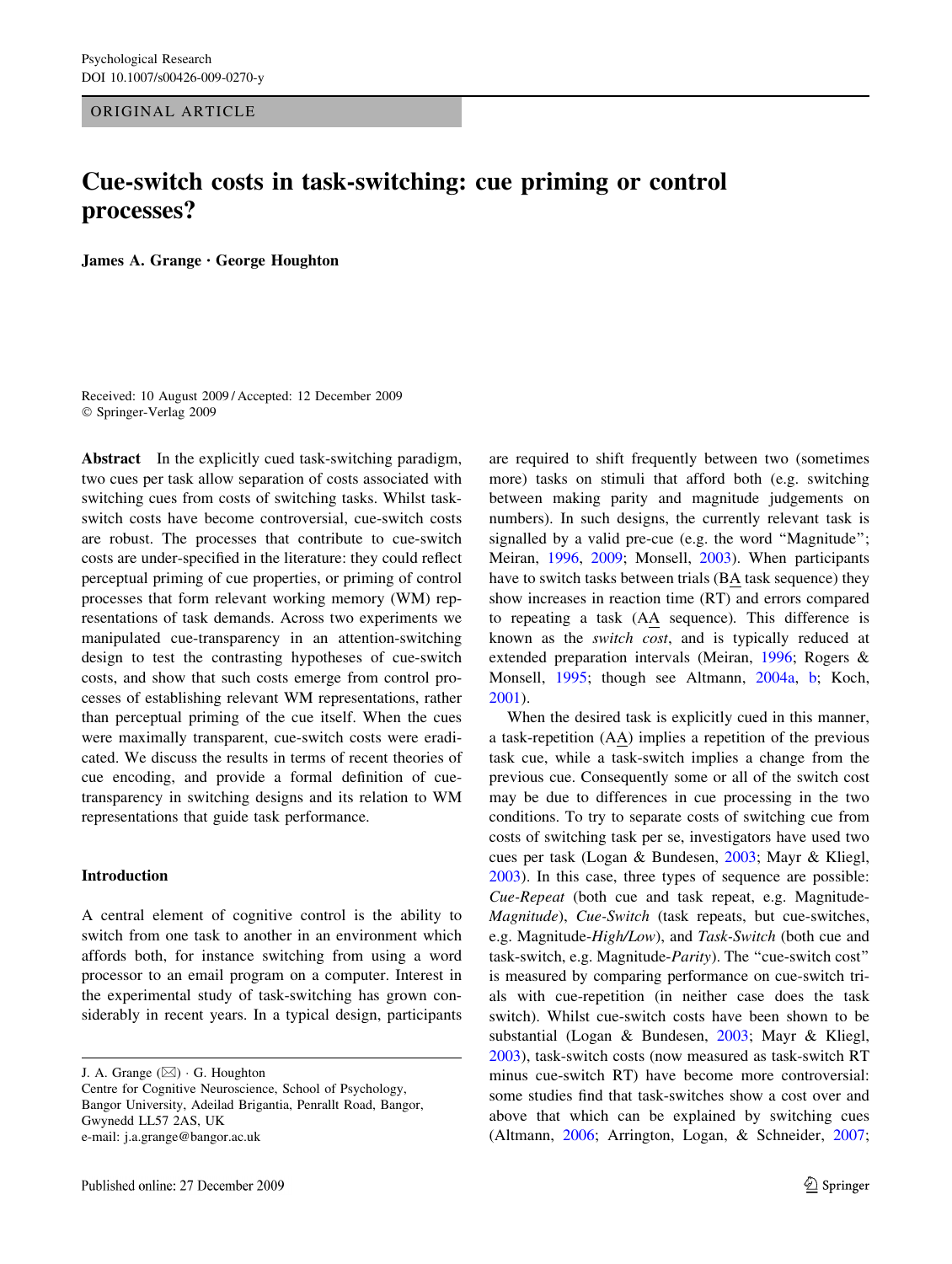ORIGINAL ARTICLE

# Cue-switch costs in task-switching: cue priming or control processes?

James A. Grange *•* George Houghton

Received: 10 August 2009 / Accepted: 12 December 2009 Springer-Verlag 2009

Abstract In the explicitly cued task-switching paradigm, two cues per task allow separation of costs associated with switching cues from costs of switching tasks. Whilst taskswitch costs have become controversial, cue-switch costs are robust. The processes that contribute to cue-switch costs are under-specified in the literature: they could reflect perceptual priming of cue properties, or priming of control processes that form relevant working memory (WM) representations of task demands. Across two experiments we manipulated cue-transparency in an attention-switching design to test the contrasting hypotheses of cue-switch costs, and show that such costs emerge from control processes of establishing relevant WM representations, rather than perceptual priming of the cue itself. When the cues were maximally transparent, cue-switch costs were eradicated. We discuss the results in terms of recent theories of cue encoding, and provide a formal definition of cuetransparency in switching designs and its relation to WM representations that guide task performance.

### Introduction

A central element of cognitive control is the ability to switch from one task to another in an environment which affords both, for instance switching from using a word processor to an email program on a computer. Interest in the experimental study of task-switching has grown considerably in recent years. In a typical design, participants

J. A. Grange  $(\boxtimes) \cdot G$ . Houghton

Centre for Cognitive Neuroscience, School of Psychology, Bangor University, Adeilad Brigantia, Penrallt Road, Bangor, Gwynedd LL57 2AS, UK e-mail: j.a.grange@bangor.ac.uk

are required to shift frequently between two (sometimes more) tasks on stimuli that afford both (e.g. switching between making parity and magnitude judgements on numbers). In such designs, the currently relevant task is signalled by a valid pre-cue (e.g. the word "Magnitude"; Meiran, [1996](#page-8-0), [2009;](#page-9-0) Monsell, [2003\)](#page-9-0). When participants have to switch tasks between trials (BA task sequence) they show increases in reaction time (RT) and errors compared to repeating a task (AA sequence). This difference is known as the switch cost, and is typically reduced at extended preparation intervals (Meiran, [1996;](#page-8-0) Rogers & Monsell, [1995;](#page-9-0) though see Altmann, [2004a](#page-8-0), [b](#page-8-0); Koch, [2001](#page-8-0)).

When the desired task is explicitly cued in this manner, a task-repetition (AA) implies a repetition of the previous task cue, while a task-switch implies a change from the previous cue. Consequently some or all of the switch cost may be due to differences in cue processing in the two conditions. To try to separate costs of switching cue from costs of switching task per se, investigators have used two cues per task (Logan & Bundesen, [2003](#page-8-0); Mayr & Kliegl, [2003](#page-8-0)). In this case, three types of sequence are possible: Cue-Repeat (both cue and task repeat, e.g. Magnitude-Magnitude), Cue-Switch (task repeats, but cue-switches, e.g. Magnitude-High/Low), and Task-Switch (both cue and task-switch, e.g. Magnitude-Parity). The "cue-switch cost" is measured by comparing performance on cue-switch trials with cue-repetition (in neither case does the task switch). Whilst cue-switch costs have been shown to be substantial (Logan & Bundesen, [2003;](#page-8-0) Mayr & Kliegl, [2003](#page-8-0)), task-switch costs (now measured as task-switch RT minus cue-switch RT) have become more controversial: some studies find that task-switches show a cost over and above that which can be explained by switching cues (Altmann, [2006](#page-8-0); Arrington, Logan, & Schneider, [2007](#page-8-0);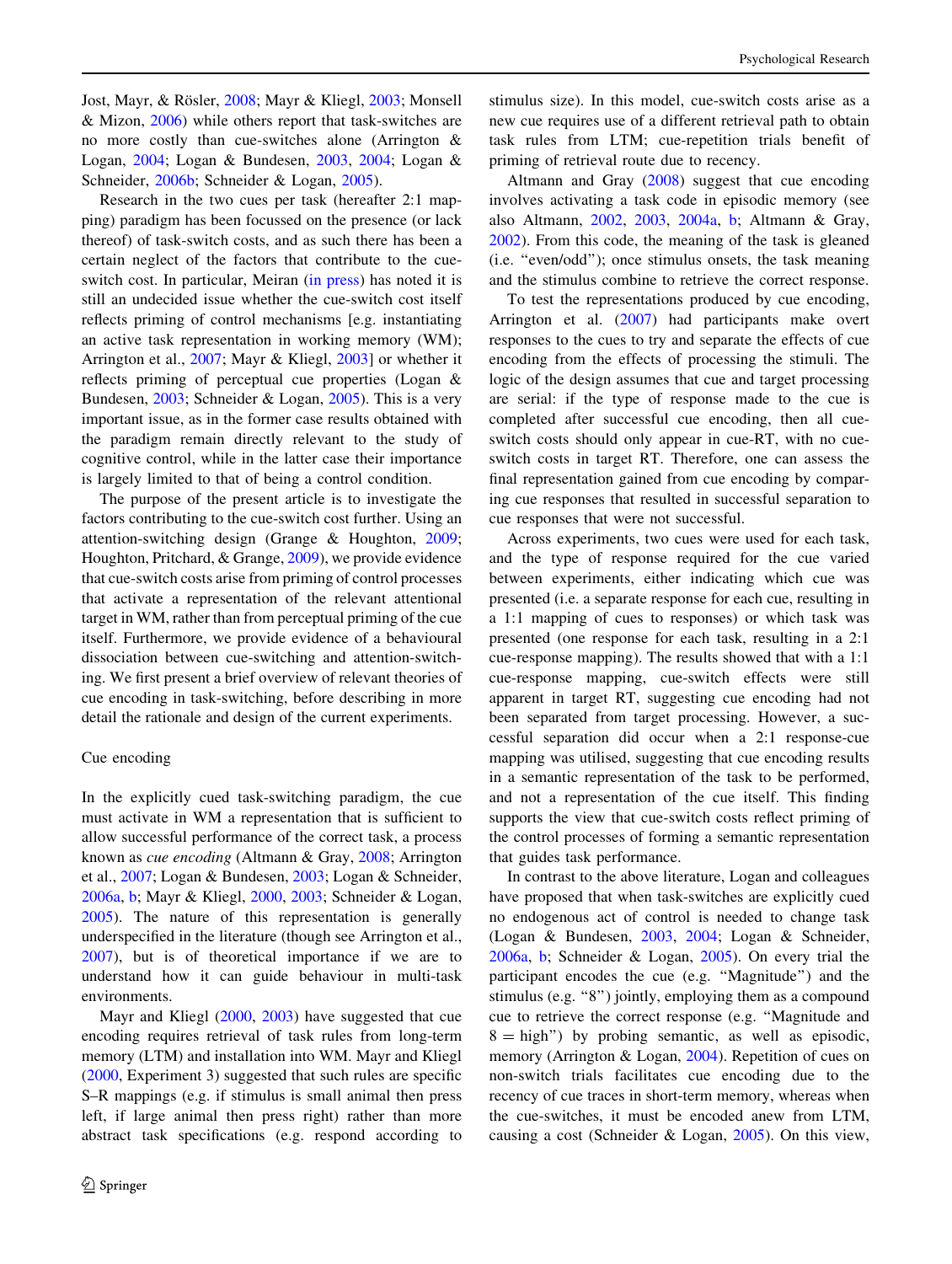Jost, Mayr, & Rösler, [2008](#page-8-0); Mayr & Kliegl, [2003;](#page-8-0) Monsell & Mizon, [2006](#page-9-0)) while others report that task-switches are no more costly than cue-switches alone (Arrington & Logan, [2004](#page-8-0); Logan & Bundesen, [2003,](#page-8-0) [2004;](#page-8-0) Logan & Schneider, [2006b;](#page-8-0) Schneider & Logan, [2005\)](#page-9-0).

Research in the two cues per task (hereafter 2:1 mapping) paradigm has been focussed on the presence (or lack thereof) of task-switch costs, and as such there has been a certain neglect of the factors that contribute to the cue-switch cost. In particular, Meiran [\(in press](#page-9-0)) has noted it is still an undecided issue whether the cue-switch cost itself reflects priming of control mechanisms [e.g. instantiating an active task representation in working memory (WM); Arrington et al., [2007;](#page-8-0) Mayr & Kliegl, [2003\]](#page-8-0) or whether it reflects priming of perceptual cue properties (Logan & Bundesen, [2003;](#page-8-0) Schneider & Logan, [2005](#page-9-0)). This is a very important issue, as in the former case results obtained with the paradigm remain directly relevant to the study of cognitive control, while in the latter case their importance is largely limited to that of being a control condition.

The purpose of the present article is to investigate the factors contributing to the cue-switch cost further. Using an attention-switching design (Grange & Houghton, [2009](#page-8-0); Houghton, Pritchard, & Grange, [2009\)](#page-8-0), we provide evidence that cue-switch costs arise from priming of control processes that activate a representation of the relevant attentional target in WM, rather than from perceptual priming of the cue itself. Furthermore, we provide evidence of a behavioural dissociation between cue-switching and attention-switching. We first present a brief overview of relevant theories of cue encoding in task-switching, before describing in more detail the rationale and design of the current experiments.

## Cue encoding

In the explicitly cued task-switching paradigm, the cue must activate in WM a representation that is sufficient to allow successful performance of the correct task, a process known as cue encoding (Altmann & Gray, [2008](#page-8-0); Arrington et al., [2007](#page-8-0); Logan & Bundesen, [2003](#page-8-0); Logan & Schneider, [2006a](#page-8-0), [b;](#page-8-0) Mayr & Kliegl, [2000,](#page-8-0) [2003](#page-8-0); Schneider & Logan, [2005\)](#page-9-0). The nature of this representation is generally underspecified in the literature (though see Arrington et al., [2007\)](#page-8-0), but is of theoretical importance if we are to understand how it can guide behaviour in multi-task environments.

Mayr and Kliegl ([2000,](#page-8-0) [2003\)](#page-8-0) have suggested that cue encoding requires retrieval of task rules from long-term memory (LTM) and installation into WM. Mayr and Kliegl [\(2000](#page-8-0), Experiment 3) suggested that such rules are specific S–R mappings (e.g. if stimulus is small animal then press left, if large animal then press right) rather than more abstract task specifications (e.g. respond according to stimulus size). In this model, cue-switch costs arise as a new cue requires use of a different retrieval path to obtain task rules from LTM; cue-repetition trials benefit of priming of retrieval route due to recency.

Altmann and Gray [\(2008](#page-8-0)) suggest that cue encoding involves activating a task code in episodic memory (see also Altmann, [2002,](#page-8-0) [2003](#page-8-0), [2004a,](#page-8-0) [b](#page-8-0); Altmann & Gray, [2002](#page-8-0)). From this code, the meaning of the task is gleaned (i.e. ''even/odd''); once stimulus onsets, the task meaning and the stimulus combine to retrieve the correct response.

To test the representations produced by cue encoding, Arrington et al. ([2007\)](#page-8-0) had participants make overt responses to the cues to try and separate the effects of cue encoding from the effects of processing the stimuli. The logic of the design assumes that cue and target processing are serial: if the type of response made to the cue is completed after successful cue encoding, then all cueswitch costs should only appear in cue-RT, with no cueswitch costs in target RT. Therefore, one can assess the final representation gained from cue encoding by comparing cue responses that resulted in successful separation to cue responses that were not successful.

Across experiments, two cues were used for each task, and the type of response required for the cue varied between experiments, either indicating which cue was presented (i.e. a separate response for each cue, resulting in a 1:1 mapping of cues to responses) or which task was presented (one response for each task, resulting in a 2:1 cue-response mapping). The results showed that with a 1:1 cue-response mapping, cue-switch effects were still apparent in target RT, suggesting cue encoding had not been separated from target processing. However, a successful separation did occur when a 2:1 response-cue mapping was utilised, suggesting that cue encoding results in a semantic representation of the task to be performed, and not a representation of the cue itself. This finding supports the view that cue-switch costs reflect priming of the control processes of forming a semantic representation that guides task performance.

In contrast to the above literature, Logan and colleagues have proposed that when task-switches are explicitly cued no endogenous act of control is needed to change task (Logan & Bundesen, [2003](#page-8-0), [2004](#page-8-0); Logan & Schneider, [2006a,](#page-8-0) [b](#page-8-0); Schneider & Logan, [2005](#page-9-0)). On every trial the participant encodes the cue (e.g. ''Magnitude'') and the stimulus (e.g. "8") jointly, employing them as a compound cue to retrieve the correct response (e.g. ''Magnitude and  $8 =$  high") by probing semantic, as well as episodic, memory (Arrington & Logan, [2004](#page-8-0)). Repetition of cues on non-switch trials facilitates cue encoding due to the recency of cue traces in short-term memory, whereas when the cue-switches, it must be encoded anew from LTM, causing a cost (Schneider & Logan, [2005\)](#page-9-0). On this view,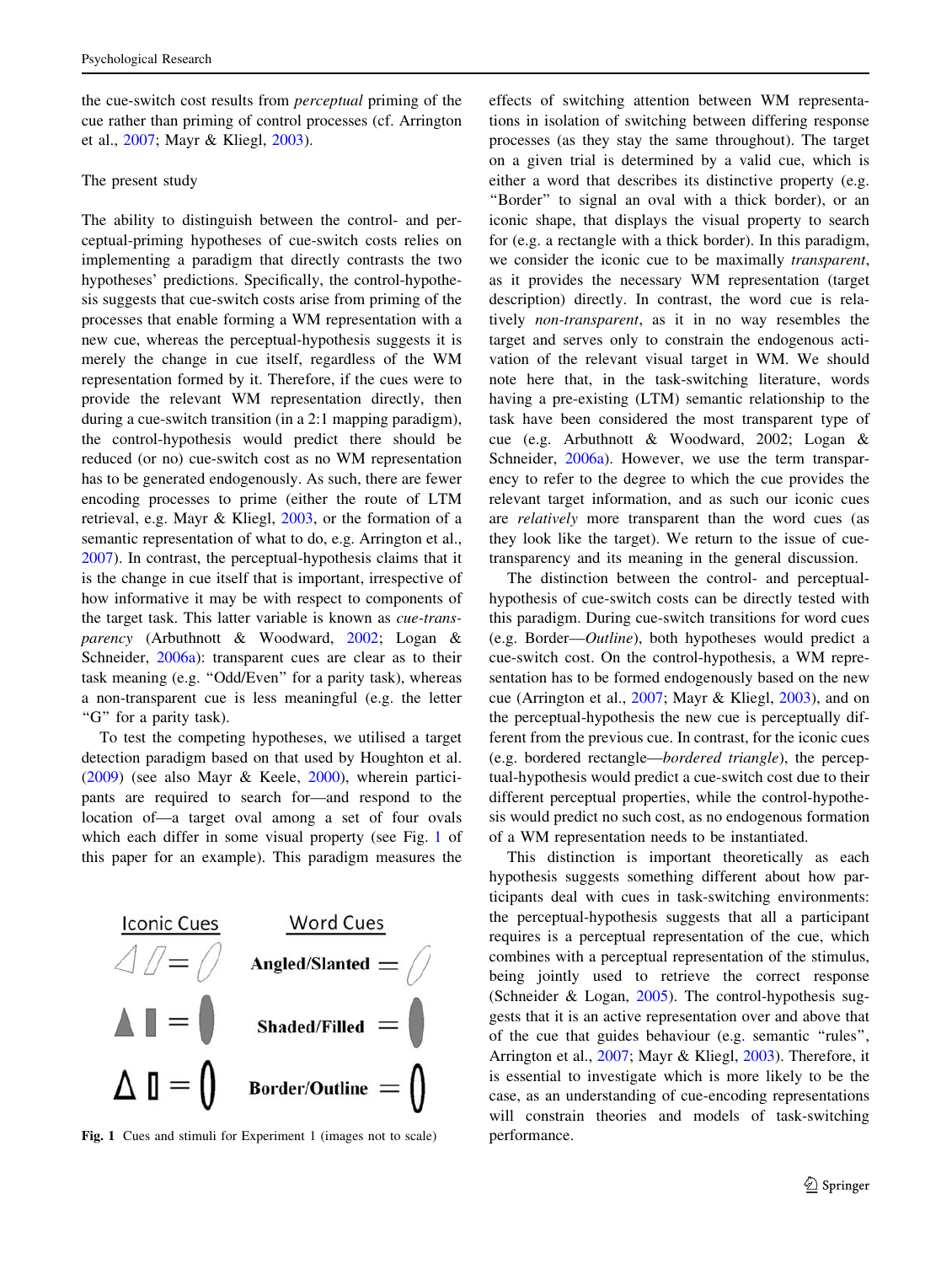<span id="page-2-0"></span>the cue-switch cost results from perceptual priming of the cue rather than priming of control processes (cf. Arrington et al., [2007](#page-8-0); Mayr & Kliegl, [2003](#page-8-0)).

# The present study

The ability to distinguish between the control- and perceptual-priming hypotheses of cue-switch costs relies on implementing a paradigm that directly contrasts the two hypotheses' predictions. Specifically, the control-hypothesis suggests that cue-switch costs arise from priming of the processes that enable forming a WM representation with a new cue, whereas the perceptual-hypothesis suggests it is merely the change in cue itself, regardless of the WM representation formed by it. Therefore, if the cues were to provide the relevant WM representation directly, then during a cue-switch transition (in a 2:1 mapping paradigm), the control-hypothesis would predict there should be reduced (or no) cue-switch cost as no WM representation has to be generated endogenously. As such, there are fewer encoding processes to prime (either the route of LTM retrieval, e.g. Mayr & Kliegl, [2003](#page-8-0), or the formation of a semantic representation of what to do, e.g. Arrington et al., [2007\)](#page-8-0). In contrast, the perceptual-hypothesis claims that it is the change in cue itself that is important, irrespective of how informative it may be with respect to components of the target task. This latter variable is known as cue-transparency (Arbuthnott & Woodward, [2002](#page-8-0); Logan & Schneider, [2006a\)](#page-8-0): transparent cues are clear as to their task meaning (e.g. "Odd/Even" for a parity task), whereas a non-transparent cue is less meaningful (e.g. the letter "G" for a parity task).

To test the competing hypotheses, we utilised a target detection paradigm based on that used by Houghton et al. [\(2009](#page-8-0)) (see also Mayr & Keele, [2000\)](#page-8-0), wherein participants are required to search for—and respond to the location of—a target oval among a set of four ovals which each differ in some visual property (see Fig. 1 of this paper for an example). This paradigm measures the



Fig. 1 Cues and stimuli for Experiment 1 (images not to scale) performance.

effects of switching attention between WM representations in isolation of switching between differing response processes (as they stay the same throughout). The target on a given trial is determined by a valid cue, which is either a word that describes its distinctive property (e.g. ''Border'' to signal an oval with a thick border), or an iconic shape, that displays the visual property to search for (e.g. a rectangle with a thick border). In this paradigm, we consider the iconic cue to be maximally transparent, as it provides the necessary WM representation (target description) directly. In contrast, the word cue is relatively non-transparent, as it in no way resembles the target and serves only to constrain the endogenous activation of the relevant visual target in WM. We should note here that, in the task-switching literature, words having a pre-existing (LTM) semantic relationship to the task have been considered the most transparent type of cue (e.g. Arbuthnott & Woodward, 2002; Logan & Schneider, [2006a](#page-8-0)). However, we use the term transparency to refer to the degree to which the cue provides the relevant target information, and as such our iconic cues are relatively more transparent than the word cues (as they look like the target). We return to the issue of cuetransparency and its meaning in the general discussion.

The distinction between the control- and perceptualhypothesis of cue-switch costs can be directly tested with this paradigm. During cue-switch transitions for word cues (e.g. Border—Outline), both hypotheses would predict a cue-switch cost. On the control-hypothesis, a WM representation has to be formed endogenously based on the new cue (Arrington et al., [2007](#page-8-0); Mayr & Kliegl, [2003\)](#page-8-0), and on the perceptual-hypothesis the new cue is perceptually different from the previous cue. In contrast, for the iconic cues (e.g. bordered rectangle—bordered triangle), the perceptual-hypothesis would predict a cue-switch cost due to their different perceptual properties, while the control-hypothesis would predict no such cost, as no endogenous formation of a WM representation needs to be instantiated.

This distinction is important theoretically as each hypothesis suggests something different about how participants deal with cues in task-switching environments: the perceptual-hypothesis suggests that all a participant requires is a perceptual representation of the cue, which combines with a perceptual representation of the stimulus, being jointly used to retrieve the correct response (Schneider & Logan, [2005](#page-9-0)). The control-hypothesis suggests that it is an active representation over and above that of the cue that guides behaviour (e.g. semantic ''rules'', Arrington et al., [2007;](#page-8-0) Mayr & Kliegl, [2003](#page-8-0)). Therefore, it is essential to investigate which is more likely to be the case, as an understanding of cue-encoding representations will constrain theories and models of task-switching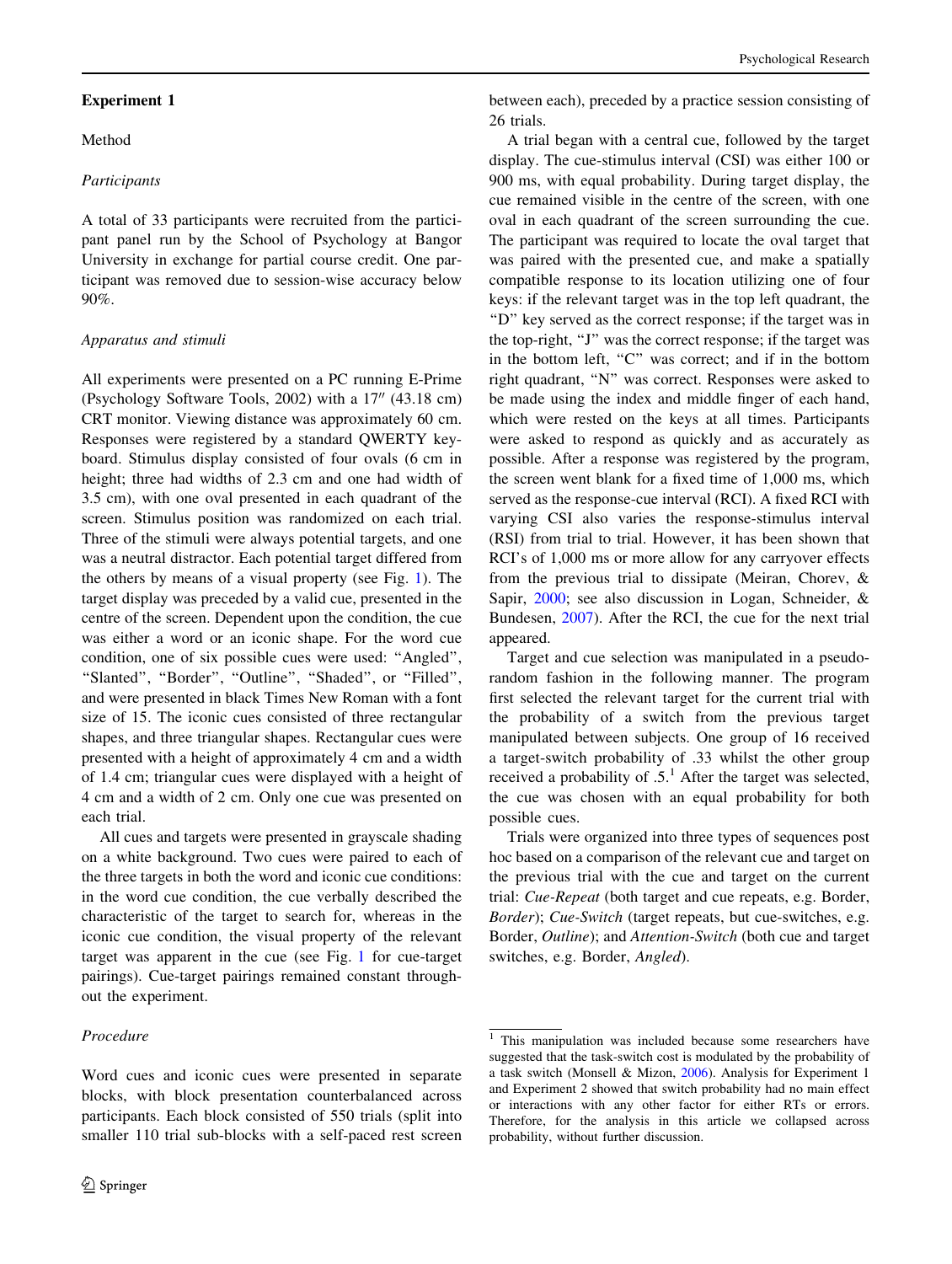#### Experiment 1

## Method

## Participants

A total of 33 participants were recruited from the participant panel run by the School of Psychology at Bangor University in exchange for partial course credit. One participant was removed due to session-wise accuracy below 90%.

#### Apparatus and stimuli

All experiments were presented on a PC running E-Prime (Psychology Software Tools, 2002) with a  $17''$  (43.18 cm) CRT monitor. Viewing distance was approximately 60 cm. Responses were registered by a standard QWERTY keyboard. Stimulus display consisted of four ovals (6 cm in height; three had widths of 2.3 cm and one had width of 3.5 cm), with one oval presented in each quadrant of the screen. Stimulus position was randomized on each trial. Three of the stimuli were always potential targets, and one was a neutral distractor. Each potential target differed from the others by means of a visual property (see Fig. [1](#page-2-0)). The target display was preceded by a valid cue, presented in the centre of the screen. Dependent upon the condition, the cue was either a word or an iconic shape. For the word cue condition, one of six possible cues were used: ''Angled'', "Slanted", "Border", "Outline", "Shaded", or "Filled", and were presented in black Times New Roman with a font size of 15. The iconic cues consisted of three rectangular shapes, and three triangular shapes. Rectangular cues were presented with a height of approximately 4 cm and a width of 1.4 cm; triangular cues were displayed with a height of 4 cm and a width of 2 cm. Only one cue was presented on each trial.

All cues and targets were presented in grayscale shading on a white background. Two cues were paired to each of the three targets in both the word and iconic cue conditions: in the word cue condition, the cue verbally described the characteristic of the target to search for, whereas in the iconic cue condition, the visual property of the relevant target was apparent in the cue (see Fig. [1](#page-2-0) for cue-target pairings). Cue-target pairings remained constant throughout the experiment.

# Procedure

Word cues and iconic cues were presented in separate blocks, with block presentation counterbalanced across participants. Each block consisted of 550 trials (split into smaller 110 trial sub-blocks with a self-paced rest screen

between each), preceded by a practice session consisting of 26 trials.

A trial began with a central cue, followed by the target display. The cue-stimulus interval (CSI) was either 100 or 900 ms, with equal probability. During target display, the cue remained visible in the centre of the screen, with one oval in each quadrant of the screen surrounding the cue. The participant was required to locate the oval target that was paired with the presented cue, and make a spatially compatible response to its location utilizing one of four keys: if the relevant target was in the top left quadrant, the "D" key served as the correct response; if the target was in the top-right, ''J'' was the correct response; if the target was in the bottom left, "C" was correct; and if in the bottom right quadrant, ''N'' was correct. Responses were asked to be made using the index and middle finger of each hand, which were rested on the keys at all times. Participants were asked to respond as quickly and as accurately as possible. After a response was registered by the program, the screen went blank for a fixed time of 1,000 ms, which served as the response-cue interval (RCI). A fixed RCI with varying CSI also varies the response-stimulus interval (RSI) from trial to trial. However, it has been shown that RCI's of 1,000 ms or more allow for any carryover effects from the previous trial to dissipate (Meiran, Chorev, & Sapir, [2000](#page-9-0); see also discussion in Logan, Schneider, & Bundesen, [2007](#page-8-0)). After the RCI, the cue for the next trial appeared.

Target and cue selection was manipulated in a pseudorandom fashion in the following manner. The program first selected the relevant target for the current trial with the probability of a switch from the previous target manipulated between subjects. One group of 16 received a target-switch probability of .33 whilst the other group received a probability of  $.5<sup>1</sup>$ . After the target was selected, the cue was chosen with an equal probability for both possible cues.

Trials were organized into three types of sequences post hoc based on a comparison of the relevant cue and target on the previous trial with the cue and target on the current trial: Cue-Repeat (both target and cue repeats, e.g. Border, Border); Cue-Switch (target repeats, but cue-switches, e.g. Border, Outline); and Attention-Switch (both cue and target switches, e.g. Border, Angled).

<sup>&</sup>lt;sup>1</sup> This manipulation was included because some researchers have suggested that the task-switch cost is modulated by the probability of a task switch (Monsell & Mizon, [2006](#page-9-0)). Analysis for Experiment 1 and Experiment 2 showed that switch probability had no main effect or interactions with any other factor for either RTs or errors. Therefore, for the analysis in this article we collapsed across probability, without further discussion.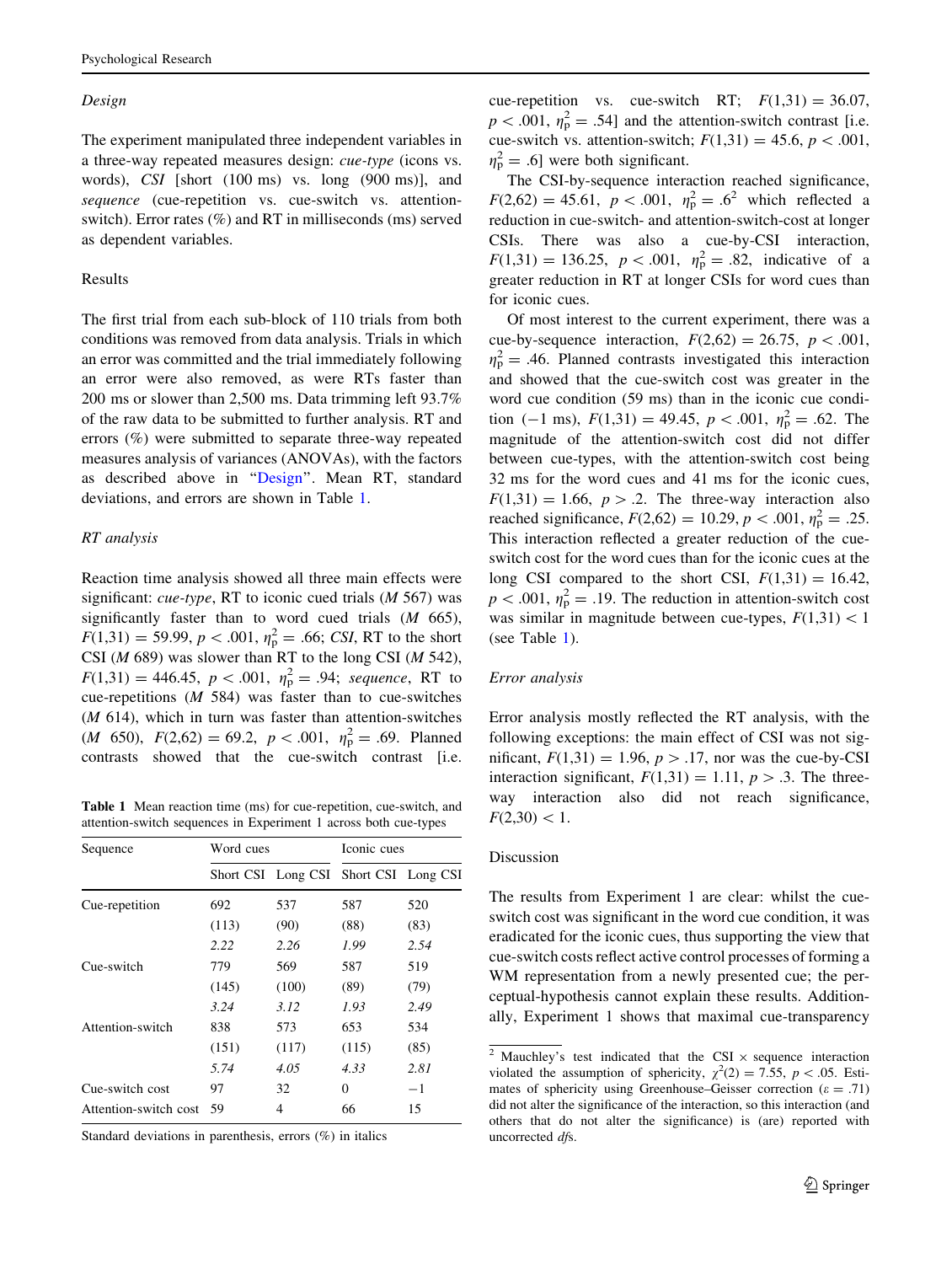#### Design

The experiment manipulated three independent variables in a three-way repeated measures design: cue-type (icons vs. words), CSI [short (100 ms) vs. long (900 ms)], and sequence (cue-repetition vs. cue-switch vs. attentionswitch). Error rates (%) and RT in milliseconds (ms) served as dependent variables.

#### Results

The first trial from each sub-block of 110 trials from both conditions was removed from data analysis. Trials in which an error was committed and the trial immediately following an error were also removed, as were RTs faster than 200 ms or slower than 2,500 ms. Data trimming left 93.7% of the raw data to be submitted to further analysis. RT and errors (%) were submitted to separate three-way repeated measures analysis of variances (ANOVAs), with the factors as described above in ''Design''. Mean RT, standard deviations, and errors are shown in Table 1.

## RT analysis

Reaction time analysis showed all three main effects were significant: *cue-type*, RT to iconic cued trials  $(M 567)$  was significantly faster than to word cued trials  $(M\ 665)$ ,  $F(1,31) = 59.99, p < .001, \eta_{\rm p}^2 = .66; \text{CSI}, RT$  to the short CSI ( $M$  689) was slower than RT to the long CSI ( $M$  542),  $F(1,31) = 446.45, p < .001, \eta_{\rm p}^2 = .94; \; \text{sequence, RT to}$ cue-repetitions  $(M 584)$  was faster than to cue-switches  $(M 614)$ , which in turn was faster than attention-switches  $(M \t 650)$ ,  $F(2,62) = 69.2$ ,  $p < .001$ ,  $\eta_p^2 = .69$ . Planned contrasts showed that the cue-switch contrast [i.e.

Table 1 Mean reaction time (ms) for cue-repetition, cue-switch, and attention-switch sequences in Experiment 1 across both cue-types

| Sequence              | Word cues |       | Iconic cues                           |      |
|-----------------------|-----------|-------|---------------------------------------|------|
|                       |           |       | Short CSI Long CSI Short CSI Long CSI |      |
| Cue-repetition        | 692       | 537   | 587                                   | 520  |
|                       | (113)     | (90)  | (88)                                  | (83) |
|                       | 2.22      | 2.26  | 1.99                                  | 2.54 |
| Cue-switch            | 779       | 569   | 587                                   | 519  |
|                       | (145)     | (100) | (89)                                  | (79) |
|                       | 3.24      | 3.12  | 1.93                                  | 2.49 |
| Attention-switch      | 838       | 573   | 653                                   | 534  |
|                       | (151)     | (117) | (115)                                 | (85) |
|                       | 5.74      | 4.05  | 4.33                                  | 2.81 |
| Cue-switch cost       | 97        | 32    | 0                                     | $-1$ |
| Attention-switch cost | 59        | 4     | 66                                    | 15   |

Standard deviations in parenthesis, errors (%) in italics

cue-repetition vs. cue-switch RT;  $F(1,31) = 36.07$ ,  $p < .001$ ,  $\eta_{\rm p}^2 = .54$ ] and the attention-switch contrast [i.e. cue-switch vs. attention-switch;  $F(1,31) = 45.6, p < .001$ ,  $\eta_{\rm p}^2 = .6$ ] were both significant.

The CSI-by-sequence interaction reached significance,  $F(2,62) = 45.61, p < .001, \eta_p^2 = .6^2$  which reflected a reduction in cue-switch- and attention-switch-cost at longer CSIs. There was also a cue-by-CSI interaction,  $F(1,31) = 136.25, p < .001, \eta_p^2 = .82,$  indicative of a greater reduction in RT at longer CSIs for word cues than for iconic cues.

Of most interest to the current experiment, there was a cue-by-sequence interaction,  $F(2,62) = 26.75$ ,  $p < .001$ ,  $\eta_{\rm p}^2$  = .46. Planned contrasts investigated this interaction and showed that the cue-switch cost was greater in the word cue condition (59 ms) than in the iconic cue condition (-1 ms),  $F(1,31) = 49.45$ ,  $p < .001$ ,  $\eta_p^2 = .62$ . The magnitude of the attention-switch cost did not differ between cue-types, with the attention-switch cost being 32 ms for the word cues and 41 ms for the iconic cues,  $F(1,31) = 1.66, p > .2$ . The three-way interaction also reached significance,  $F(2,62) = 10.29, p < .001, \eta_{p}^{2} = .25.$ This interaction reflected a greater reduction of the cueswitch cost for the word cues than for the iconic cues at the long CSI compared to the short CSI,  $F(1,31) = 16.42$ ,  $p < .001$ ,  $\eta_{\rm p}^2 = .19$ . The reduction in attention-switch cost was similar in magnitude between cue-types,  $F(1,31)$  < 1 (see Table 1).

## Error analysis

Error analysis mostly reflected the RT analysis, with the following exceptions: the main effect of CSI was not significant,  $F(1,31) = 1.96$ ,  $p > .17$ , nor was the cue-by-CSI interaction significant,  $F(1,31) = 1.11$ ,  $p > .3$ . The threeway interaction also did not reach significance,  $F(2,30) < 1.$ 

#### Discussion

The results from Experiment 1 are clear: whilst the cueswitch cost was significant in the word cue condition, it was eradicated for the iconic cues, thus supporting the view that cue-switch costs reflect active control processes of forming a WM representation from a newly presented cue; the perceptual-hypothesis cannot explain these results. Additionally, Experiment 1 shows that maximal cue-transparency

<sup>&</sup>lt;sup>2</sup> Mauchley's test indicated that the CSI  $\times$  sequence interaction violated the assumption of sphericity,  $\chi^2(2) = 7.55$ ,  $p < .05$ . Estimates of sphericity using Greenhouse–Geisser correction ( $\varepsilon = .71$ ) did not alter the significance of the interaction, so this interaction (and others that do not alter the significance) is (are) reported with uncorrected dfs.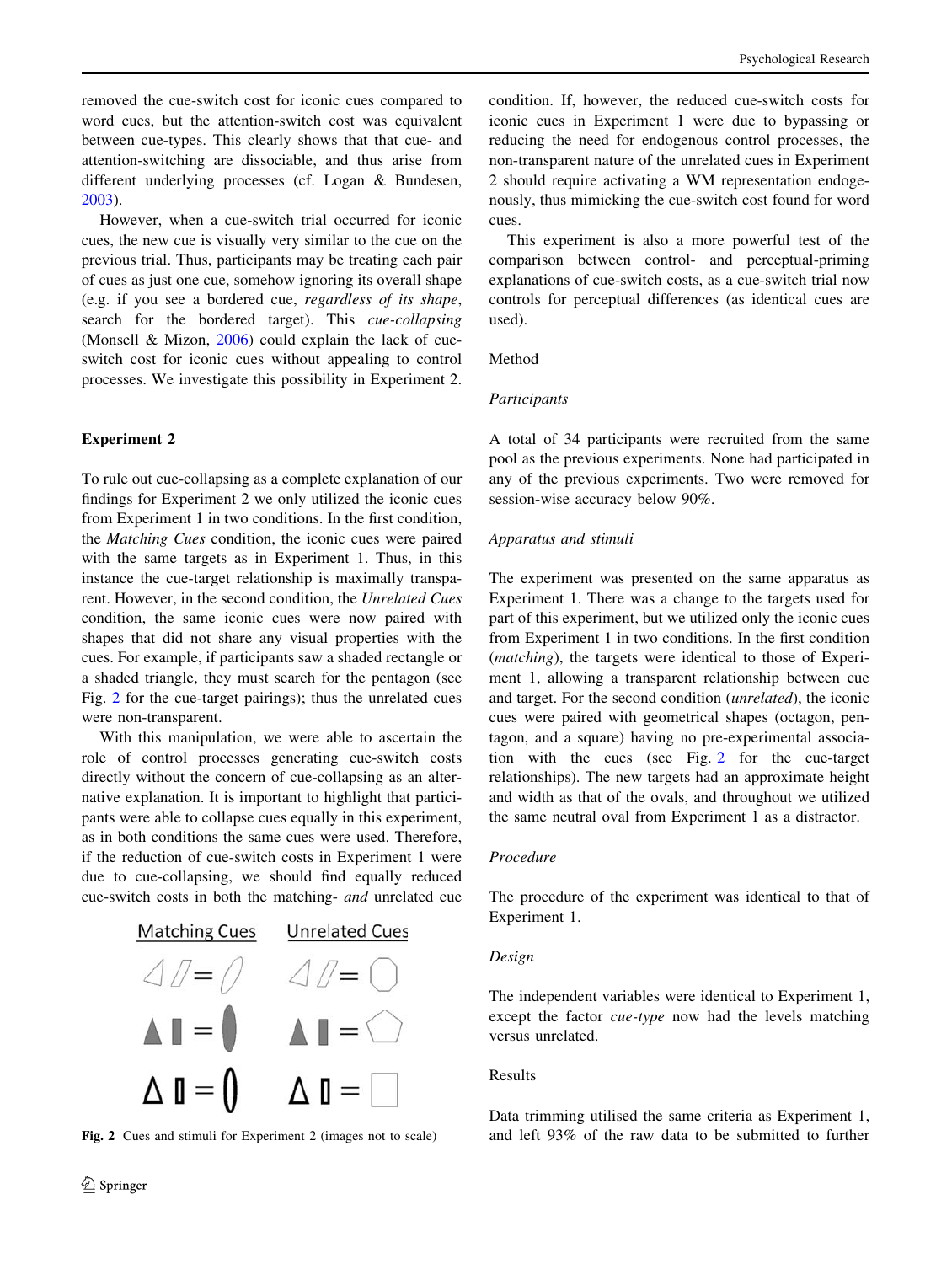<span id="page-5-0"></span>removed the cue-switch cost for iconic cues compared to word cues, but the attention-switch cost was equivalent between cue-types. This clearly shows that that cue- and attention-switching are dissociable, and thus arise from different underlying processes (cf. Logan & Bundesen, [2003\)](#page-8-0).

However, when a cue-switch trial occurred for iconic cues, the new cue is visually very similar to the cue on the previous trial. Thus, participants may be treating each pair of cues as just one cue, somehow ignoring its overall shape (e.g. if you see a bordered cue, regardless of its shape, search for the bordered target). This cue-collapsing (Monsell & Mizon, [2006](#page-9-0)) could explain the lack of cueswitch cost for iconic cues without appealing to control processes. We investigate this possibility in Experiment 2.

## Experiment 2

To rule out cue-collapsing as a complete explanation of our findings for Experiment 2 we only utilized the iconic cues from Experiment 1 in two conditions. In the first condition, the Matching Cues condition, the iconic cues were paired with the same targets as in Experiment 1. Thus, in this instance the cue-target relationship is maximally transparent. However, in the second condition, the Unrelated Cues condition, the same iconic cues were now paired with shapes that did not share any visual properties with the cues. For example, if participants saw a shaded rectangle or a shaded triangle, they must search for the pentagon (see Fig. 2 for the cue-target pairings); thus the unrelated cues were non-transparent.

With this manipulation, we were able to ascertain the role of control processes generating cue-switch costs directly without the concern of cue-collapsing as an alternative explanation. It is important to highlight that participants were able to collapse cues equally in this experiment, as in both conditions the same cues were used. Therefore, if the reduction of cue-switch costs in Experiment 1 were due to cue-collapsing, we should find equally reduced cue-switch costs in both the matching- and unrelated cue



condition. If, however, the reduced cue-switch costs for iconic cues in Experiment 1 were due to bypassing or reducing the need for endogenous control processes, the non-transparent nature of the unrelated cues in Experiment 2 should require activating a WM representation endogenously, thus mimicking the cue-switch cost found for word cues.

This experiment is also a more powerful test of the comparison between control- and perceptual-priming explanations of cue-switch costs, as a cue-switch trial now controls for perceptual differences (as identical cues are used).

# Method

## Participants

A total of 34 participants were recruited from the same pool as the previous experiments. None had participated in any of the previous experiments. Two were removed for session-wise accuracy below 90%.

#### Apparatus and stimuli

The experiment was presented on the same apparatus as Experiment 1. There was a change to the targets used for part of this experiment, but we utilized only the iconic cues from Experiment 1 in two conditions. In the first condition (matching), the targets were identical to those of Experiment 1, allowing a transparent relationship between cue and target. For the second condition (unrelated), the iconic cues were paired with geometrical shapes (octagon, pentagon, and a square) having no pre-experimental association with the cues (see Fig. 2 for the cue-target relationships). The new targets had an approximate height and width as that of the ovals, and throughout we utilized the same neutral oval from Experiment 1 as a distractor.

#### Procedure

The procedure of the experiment was identical to that of Experiment 1.

#### Design

The independent variables were identical to Experiment 1, except the factor cue-type now had the levels matching versus unrelated.

#### Results

Data trimming utilised the same criteria as Experiment 1, Fig. 2 Cues and stimuli for Experiment 2 (images not to scale) and left 93% of the raw data to be submitted to further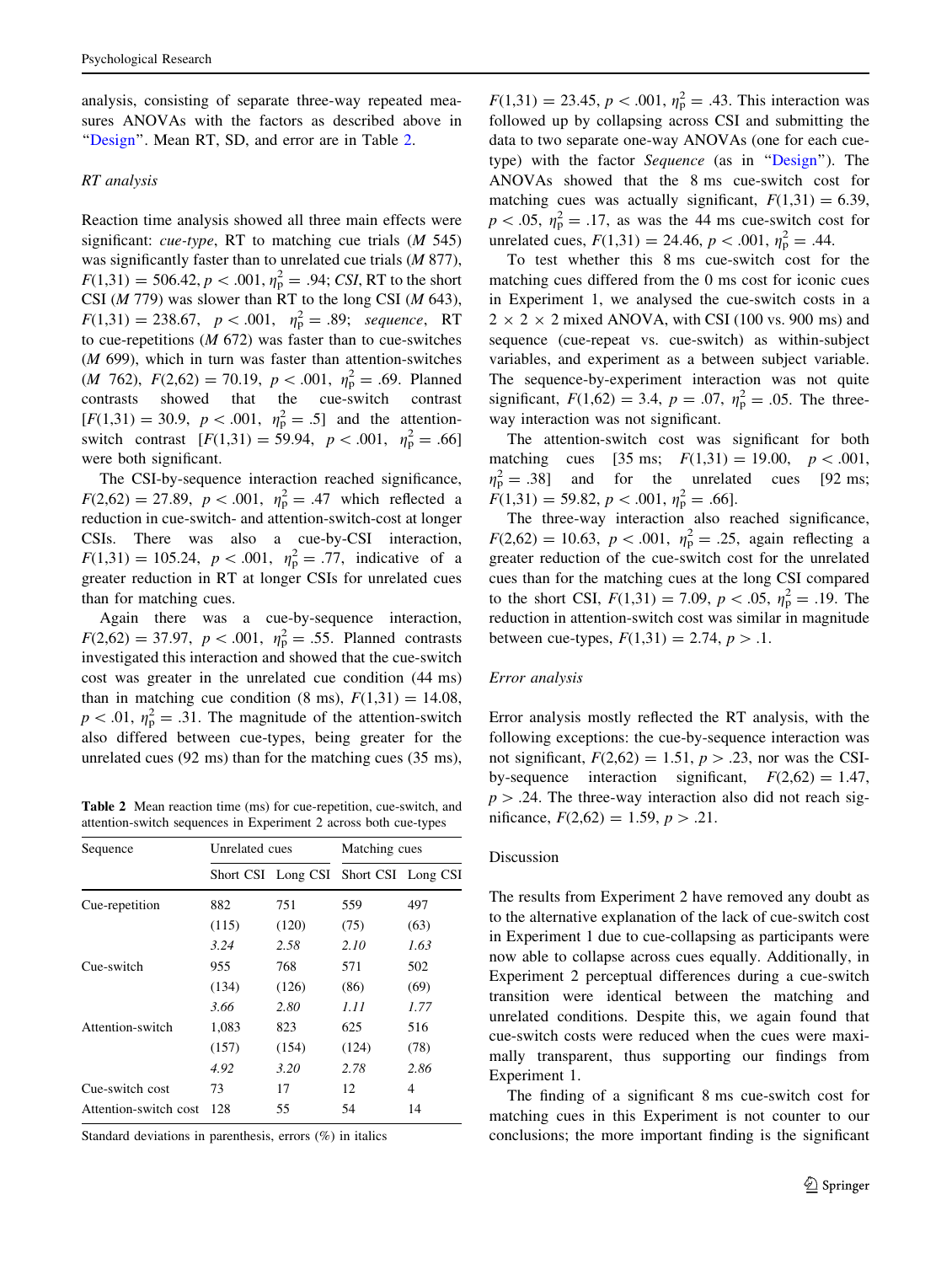analysis, consisting of separate three-way repeated measures ANOVAs with the factors as described above in "Design". Mean RT, SD, and error are in Table 2.

# RT analysis

Reaction time analysis showed all three main effects were significant: *cue-type*, RT to matching cue trials  $(M 545)$ was significantly faster than to unrelated cue trials (*M* 877),  $F(1,31) = 506.42, p < .001, \eta_{\rm p}^2 = .94; \text{CSI}, \text{RT}$  to the short CSI ( $M$  779) was slower than RT to the long CSI ( $M$  643),  $F(1,31) = 238.67, p < .001, \eta_p^2 = .89; \text{ sequence, RT}$ to cue-repetitions  $(M 672)$  was faster than to cue-switches  $(M 699)$ , which in turn was faster than attention-switches  $(M \ 762)$ ,  $F(2,62) = 70.19$ ,  $p < .001$ ,  $\eta_p^2 = .69$ . Planned contrasts showed that the cue-switch contrast  $[F(1,31) = 30.9, p < .001, \eta_{p}^{2} = .5]$  and the attentionswitch contrast  $[F(1,31) = 59.94, p < .001, \eta_p^2 = .66]$ were both significant.

The CSI-by-sequence interaction reached significance,  $F(2,62) = 27.89, p < .001, \eta_{\rm p}^2 = .47$  which reflected a reduction in cue-switch- and attention-switch-cost at longer CSIs. There was also a cue-by-CSI interaction,  $F(1,31) = 105.24$ ,  $p < .001$ ,  $\eta_p^2 = .77$ , indicative of a greater reduction in RT at longer CSIs for unrelated cues than for matching cues.

Again there was a cue-by-sequence interaction,  $F(2,62) = 37.97, p < .001, \eta_{\rm p}^2 = .55.$  Planned contrasts investigated this interaction and showed that the cue-switch cost was greater in the unrelated cue condition (44 ms) than in matching cue condition (8 ms),  $F(1,31) = 14.08$ ,  $p < .01$ ,  $\eta_{\rm p}^2 = .31$ . The magnitude of the attention-switch also differed between cue-types, being greater for the unrelated cues (92 ms) than for the matching cues (35 ms),

Table 2 Mean reaction time (ms) for cue-repetition, cue-switch, and attention-switch sequences in Experiment 2 across both cue-types

| Sequence              | Unrelated cues |       | Matching cues                         |      |
|-----------------------|----------------|-------|---------------------------------------|------|
|                       |                |       | Short CSI Long CSI Short CSI Long CSI |      |
| Cue-repetition        | 882            | 751   | 559                                   | 497  |
|                       | (115)          | (120) | (75)                                  | (63) |
|                       | 3.24           | 2.58  | 2.10                                  | 1.63 |
| Cue-switch            | 955            | 768   | 571                                   | 502  |
|                       | (134)          | (126) | (86)                                  | (69) |
|                       | 3.66           | 2.80  | 1.11                                  | 1.77 |
| Attention-switch      | 1,083          | 823   | 625                                   | 516  |
|                       | (157)          | (154) | (124)                                 | (78) |
|                       | 4.92           | 3.20  | 2.78                                  | 2.86 |
| Cue-switch cost       | 73             | 17    | 12                                    | 4    |
| Attention-switch cost | 128            | 55    | 54                                    | 14   |

Standard deviations in parenthesis, errors (%) in italics

 $F(1,31) = 23.45, p < .001, \eta_{\rm p}^2 = .43$ . This interaction was followed up by collapsing across CSI and submitting the data to two separate one-way ANOVAs (one for each cuetype) with the factor Sequence (as in '['Design'](#page-5-0)'). The ANOVAs showed that the 8 ms cue-switch cost for matching cues was actually significant,  $F(1,31) = 6.39$ ,  $p < .05$ ,  $\eta_{\rm p}^2 = .17$ , as was the 44 ms cue-switch cost for unrelated cues,  $F(1,31) = 24.46$ ,  $p < .001$ ,  $\eta_p^2 = .44$ .

To test whether this 8 ms cue-switch cost for the matching cues differed from the 0 ms cost for iconic cues in Experiment 1, we analysed the cue-switch costs in a  $2 \times 2 \times 2$  mixed ANOVA, with CSI (100 vs. 900 ms) and sequence (cue-repeat vs. cue-switch) as within-subject variables, and experiment as a between subject variable. The sequence-by-experiment interaction was not quite significant,  $F(1,62) = 3.4$ ,  $p = .07$ ,  $\eta_{\rm p}^2 = .05$ . The threeway interaction was not significant.

The attention-switch cost was significant for both matching cues [35 ms;  $F(1,31) = 19.00, p < .001$ ,  $\eta_{\rm p}^2 = .38$ ] and for the unrelated cues [92 ms;  $\overline{F}(1,31) = 59.82, p < .001, \eta_{\rm p}^2 = .66$ .

The three-way interaction also reached significance,  $F(2,62) = 10.63$ ,  $p < .001$ ,  $\eta_p^2 = .25$ , again reflecting a greater reduction of the cue-switch cost for the unrelated cues than for the matching cues at the long CSI compared to the short CSI,  $F(1,31) = 7.09$ ,  $p < .05$ ,  $\eta_p^2 = .19$ . The reduction in attention-switch cost was similar in magnitude between cue-types,  $F(1,31) = 2.74, p > 0.1$ .

#### Error analysis

Error analysis mostly reflected the RT analysis, with the following exceptions: the cue-by-sequence interaction was not significant,  $F(2,62) = 1.51$ ,  $p > .23$ , nor was the CSIby-sequence interaction significant,  $F(2,62) = 1.47$ .  $p > .24$ . The three-way interaction also did not reach significance,  $F(2,62) = 1.59, p > .21.$ 

#### Discussion

The results from Experiment 2 have removed any doubt as to the alternative explanation of the lack of cue-switch cost in Experiment 1 due to cue-collapsing as participants were now able to collapse across cues equally. Additionally, in Experiment 2 perceptual differences during a cue-switch transition were identical between the matching and unrelated conditions. Despite this, we again found that cue-switch costs were reduced when the cues were maximally transparent, thus supporting our findings from Experiment 1.

The finding of a significant 8 ms cue-switch cost for matching cues in this Experiment is not counter to our conclusions; the more important finding is the significant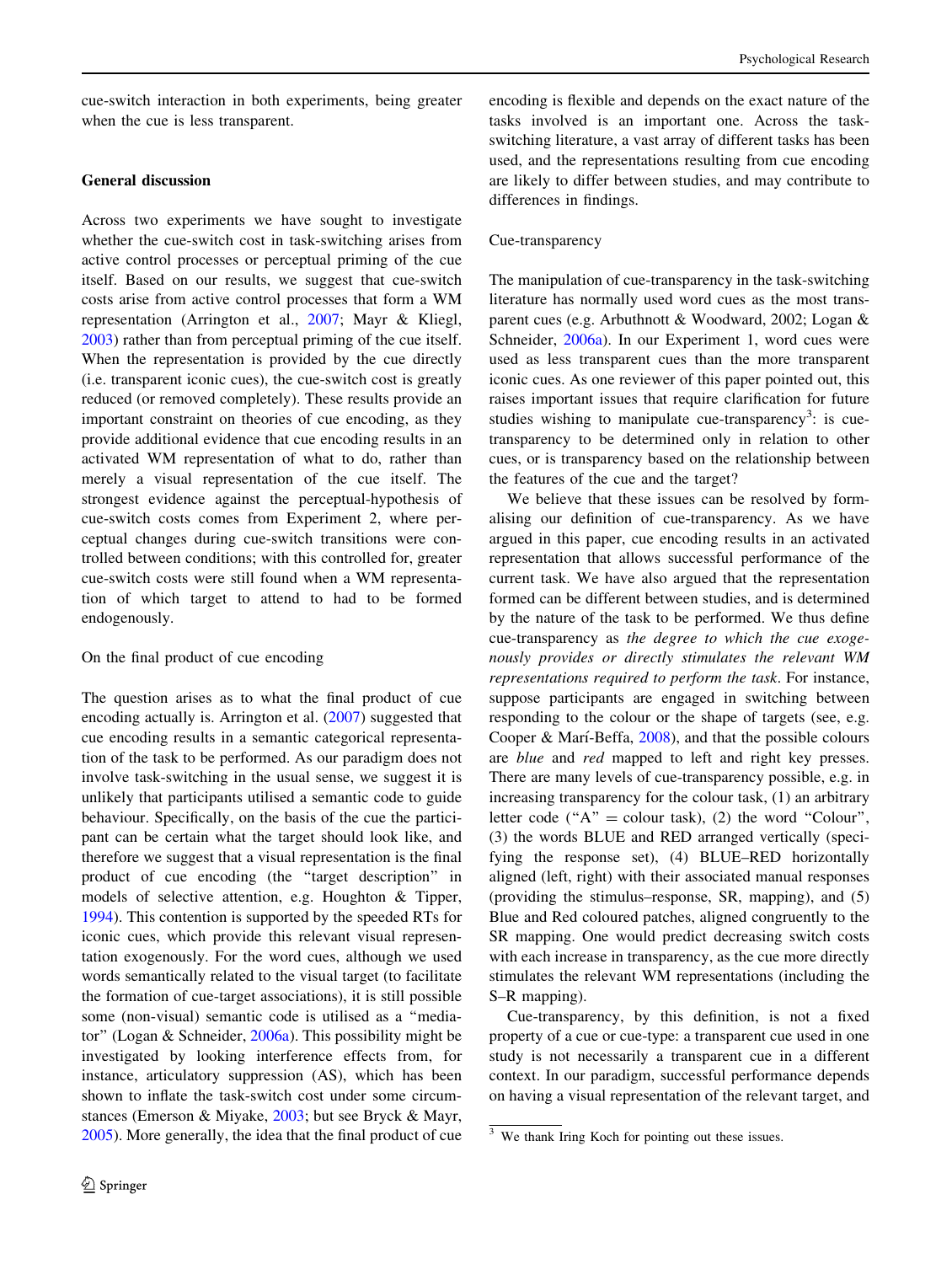cue-switch interaction in both experiments, being greater when the cue is less transparent.

# General discussion

Across two experiments we have sought to investigate whether the cue-switch cost in task-switching arises from active control processes or perceptual priming of the cue itself. Based on our results, we suggest that cue-switch costs arise from active control processes that form a WM representation (Arrington et al., [2007](#page-8-0); Mayr & Kliegl, [2003\)](#page-8-0) rather than from perceptual priming of the cue itself. When the representation is provided by the cue directly (i.e. transparent iconic cues), the cue-switch cost is greatly reduced (or removed completely). These results provide an important constraint on theories of cue encoding, as they provide additional evidence that cue encoding results in an activated WM representation of what to do, rather than merely a visual representation of the cue itself. The strongest evidence against the perceptual-hypothesis of cue-switch costs comes from Experiment 2, where perceptual changes during cue-switch transitions were controlled between conditions; with this controlled for, greater cue-switch costs were still found when a WM representation of which target to attend to had to be formed endogenously.

## On the final product of cue encoding

The question arises as to what the final product of cue encoding actually is. Arrington et al. ([2007\)](#page-8-0) suggested that cue encoding results in a semantic categorical representation of the task to be performed. As our paradigm does not involve task-switching in the usual sense, we suggest it is unlikely that participants utilised a semantic code to guide behaviour. Specifically, on the basis of the cue the participant can be certain what the target should look like, and therefore we suggest that a visual representation is the final product of cue encoding (the ''target description'' in models of selective attention, e.g. Houghton & Tipper, [1994\)](#page-8-0). This contention is supported by the speeded RTs for iconic cues, which provide this relevant visual representation exogenously. For the word cues, although we used words semantically related to the visual target (to facilitate the formation of cue-target associations), it is still possible some (non-visual) semantic code is utilised as a ''mediator'' (Logan & Schneider, [2006a](#page-8-0)). This possibility might be investigated by looking interference effects from, for instance, articulatory suppression (AS), which has been shown to inflate the task-switch cost under some circumstances (Emerson & Miyake, [2003;](#page-8-0) but see Bryck & Mayr, [2005\)](#page-8-0). More generally, the idea that the final product of cue

encoding is flexible and depends on the exact nature of the tasks involved is an important one. Across the taskswitching literature, a vast array of different tasks has been used, and the representations resulting from cue encoding are likely to differ between studies, and may contribute to differences in findings.

#### Cue-transparency

The manipulation of cue-transparency in the task-switching literature has normally used word cues as the most transparent cues (e.g. Arbuthnott & Woodward, 2002; Logan & Schneider, [2006a](#page-8-0)). In our Experiment 1, word cues were used as less transparent cues than the more transparent iconic cues. As one reviewer of this paper pointed out, this raises important issues that require clarification for future studies wishing to manipulate cue-transparency<sup>3</sup>: is cuetransparency to be determined only in relation to other cues, or is transparency based on the relationship between the features of the cue and the target?

We believe that these issues can be resolved by formalising our definition of cue-transparency. As we have argued in this paper, cue encoding results in an activated representation that allows successful performance of the current task. We have also argued that the representation formed can be different between studies, and is determined by the nature of the task to be performed. We thus define cue-transparency as the degree to which the cue exogenously provides or directly stimulates the relevant WM representations required to perform the task. For instance, suppose participants are engaged in switching between responding to the colour or the shape of targets (see, e.g. Cooper & Marı´-Beffa, [2008\)](#page-8-0), and that the possible colours are blue and red mapped to left and right key presses. There are many levels of cue-transparency possible, e.g. in increasing transparency for the colour task, (1) an arbitrary letter code (" $A$ " = colour task), (2) the word "Colour", (3) the words BLUE and RED arranged vertically (specifying the response set), (4) BLUE–RED horizontally aligned (left, right) with their associated manual responses (providing the stimulus–response, SR, mapping), and (5) Blue and Red coloured patches, aligned congruently to the SR mapping. One would predict decreasing switch costs with each increase in transparency, as the cue more directly stimulates the relevant WM representations (including the S–R mapping).

Cue-transparency, by this definition, is not a fixed property of a cue or cue-type: a transparent cue used in one study is not necessarily a transparent cue in a different context. In our paradigm, successful performance depends on having a visual representation of the relevant target, and

<sup>&</sup>lt;sup>3</sup> We thank Iring Koch for pointing out these issues.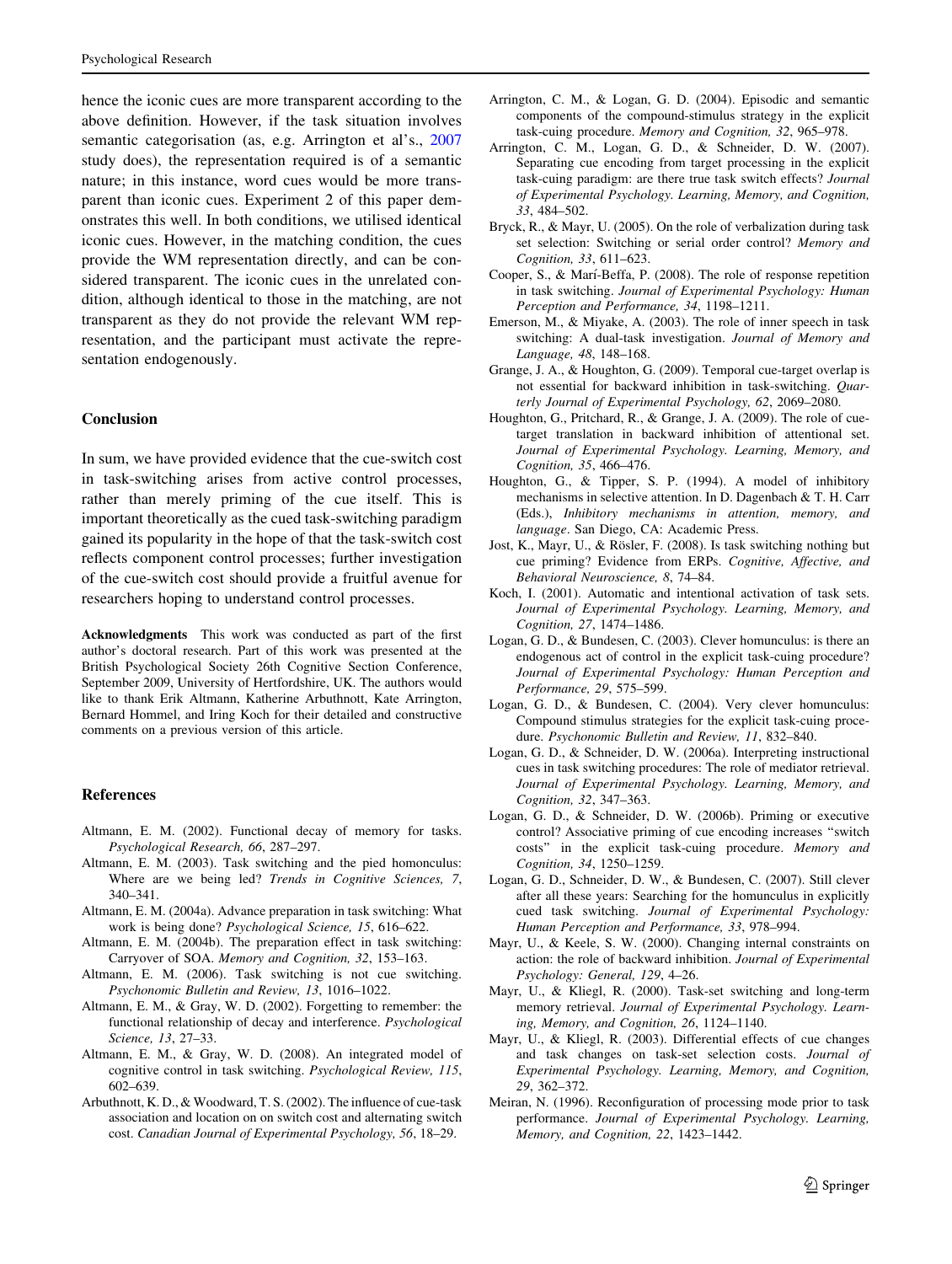<span id="page-8-0"></span>hence the iconic cues are more transparent according to the above definition. However, if the task situation involves semantic categorisation (as, e.g. Arrington et al's., 2007 study does), the representation required is of a semantic nature; in this instance, word cues would be more transparent than iconic cues. Experiment 2 of this paper demonstrates this well. In both conditions, we utilised identical iconic cues. However, in the matching condition, the cues provide the WM representation directly, and can be considered transparent. The iconic cues in the unrelated condition, although identical to those in the matching, are not transparent as they do not provide the relevant WM representation, and the participant must activate the representation endogenously.

#### Conclusion

In sum, we have provided evidence that the cue-switch cost in task-switching arises from active control processes, rather than merely priming of the cue itself. This is important theoretically as the cued task-switching paradigm gained its popularity in the hope of that the task-switch cost reflects component control processes; further investigation of the cue-switch cost should provide a fruitful avenue for researchers hoping to understand control processes.

Acknowledgments This work was conducted as part of the first author's doctoral research. Part of this work was presented at the British Psychological Society 26th Cognitive Section Conference, September 2009, University of Hertfordshire, UK. The authors would like to thank Erik Altmann, Katherine Arbuthnott, Kate Arrington, Bernard Hommel, and Iring Koch for their detailed and constructive comments on a previous version of this article.

#### References

- Altmann, E. M. (2002). Functional decay of memory for tasks. Psychological Research, 66, 287–297.
- Altmann, E. M. (2003). Task switching and the pied homonculus: Where are we being led? Trends in Cognitive Sciences, 7, 340–341.
- Altmann, E. M. (2004a). Advance preparation in task switching: What work is being done? Psychological Science, 15, 616–622.
- Altmann, E. M. (2004b). The preparation effect in task switching: Carryover of SOA. Memory and Cognition, 32, 153–163.
- Altmann, E. M. (2006). Task switching is not cue switching. Psychonomic Bulletin and Review, 13, 1016–1022.
- Altmann, E. M., & Gray, W. D. (2002). Forgetting to remember: the functional relationship of decay and interference. Psychological Science, 13, 27–33.
- Altmann, E. M., & Gray, W. D. (2008). An integrated model of cognitive control in task switching. Psychological Review, 115, 602–639.
- Arbuthnott, K. D., & Woodward, T. S. (2002). The influence of cue-task association and location on on switch cost and alternating switch cost. Canadian Journal of Experimental Psychology, 56, 18–29.
- Arrington, C. M., & Logan, G. D. (2004). Episodic and semantic components of the compound-stimulus strategy in the explicit task-cuing procedure. Memory and Cognition, 32, 965–978.
- Arrington, C. M., Logan, G. D., & Schneider, D. W. (2007). Separating cue encoding from target processing in the explicit task-cuing paradigm: are there true task switch effects? Journal of Experimental Psychology. Learning, Memory, and Cognition, 33, 484–502.
- Bryck, R., & Mayr, U. (2005). On the role of verbalization during task set selection: Switching or serial order control? Memory and Cognition, 33, 611–623.
- Cooper, S., & Marı´-Beffa, P. (2008). The role of response repetition in task switching. Journal of Experimental Psychology: Human Perception and Performance, 34, 1198–1211.
- Emerson, M., & Miyake, A. (2003). The role of inner speech in task switching: A dual-task investigation. Journal of Memory and Language, 48, 148–168.
- Grange, J. A., & Houghton, G. (2009). Temporal cue-target overlap is not essential for backward inhibition in task-switching. Quarterly Journal of Experimental Psychology, 62, 2069–2080.
- Houghton, G., Pritchard, R., & Grange, J. A. (2009). The role of cuetarget translation in backward inhibition of attentional set. Journal of Experimental Psychology. Learning, Memory, and Cognition, 35, 466–476.
- Houghton, G., & Tipper, S. P. (1994). A model of inhibitory mechanisms in selective attention. In D. Dagenbach & T. H. Carr (Eds.), Inhibitory mechanisms in attention, memory, and language. San Diego, CA: Academic Press.
- Jost, K., Mayr, U., & Rösler, F. (2008). Is task switching nothing but cue priming? Evidence from ERPs. Cognitive, Affective, and Behavioral Neuroscience, 8, 74–84.
- Koch, I. (2001). Automatic and intentional activation of task sets. Journal of Experimental Psychology. Learning, Memory, and Cognition, 27, 1474–1486.
- Logan, G. D., & Bundesen, C. (2003). Clever homunculus: is there an endogenous act of control in the explicit task-cuing procedure? Journal of Experimental Psychology: Human Perception and Performance, 29, 575–599.
- Logan, G. D., & Bundesen, C. (2004). Very clever homunculus: Compound stimulus strategies for the explicit task-cuing procedure. Psychonomic Bulletin and Review, 11, 832–840.
- Logan, G. D., & Schneider, D. W. (2006a). Interpreting instructional cues in task switching procedures: The role of mediator retrieval. Journal of Experimental Psychology. Learning, Memory, and Cognition, 32, 347–363.
- Logan, G. D., & Schneider, D. W. (2006b). Priming or executive control? Associative priming of cue encoding increases ''switch costs'' in the explicit task-cuing procedure. Memory and Cognition, 34, 1250–1259.
- Logan, G. D., Schneider, D. W., & Bundesen, C. (2007). Still clever after all these years: Searching for the homunculus in explicitly cued task switching. Journal of Experimental Psychology: Human Perception and Performance, 33, 978–994.
- Mayr, U., & Keele, S. W. (2000). Changing internal constraints on action: the role of backward inhibition. Journal of Experimental Psychology: General, 129, 4–26.
- Mayr, U., & Kliegl, R. (2000). Task-set switching and long-term memory retrieval. Journal of Experimental Psychology. Learning, Memory, and Cognition, 26, 1124–1140.
- Mayr, U., & Kliegl, R. (2003). Differential effects of cue changes and task changes on task-set selection costs. Journal of Experimental Psychology. Learning, Memory, and Cognition, 29, 362–372.
- Meiran, N. (1996). Reconfiguration of processing mode prior to task performance. Journal of Experimental Psychology. Learning, Memory, and Cognition, 22, 1423–1442.